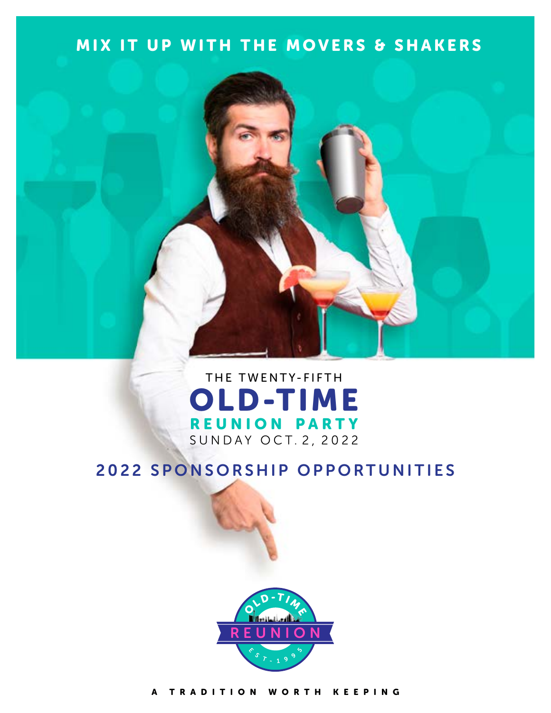# MIX IT UP WITH THE MOVERS & SHAKERS



# THE TWENTY-FIFTH OLD-TIME REUNION PARTY SUNDAY OCT. 2, 2022

# 2022 SPONSORSHIP OPPORTUNITIES



[A TRADITION WORTH KEEPING](https://oldtimereunion.com/index.html)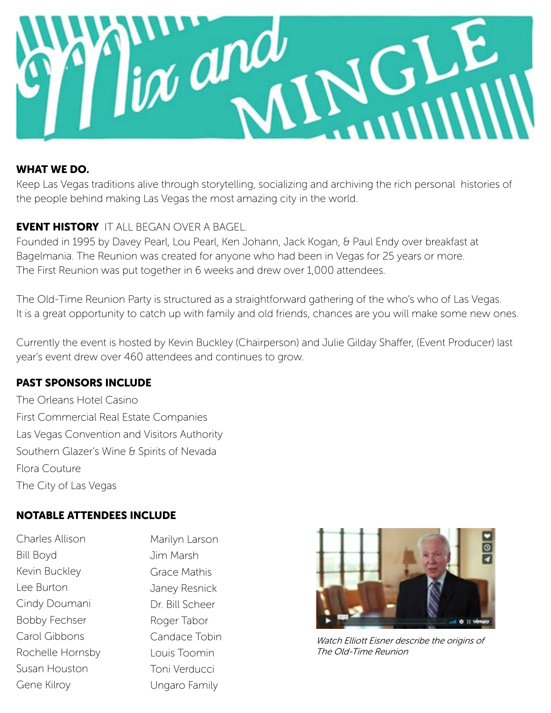

## WHAT WE DO.

Keep Las Vegas traditions alive through storytelling, socializing and archiving the rich personal histories of the people behind making Las Vegas the most amazing city in the world.

# EVENT HISTORY IT ALL BEGAN OVER A BAGEL.

Founded in 1995 by Davey Pearl, Lou Pearl, Ken Johann, Jack Kogan, & Paul Endy over breakfast at Bagelmania. The Reunion was created for anyone who had been in Vegas for 25 years or more. The First Reunion was put together in 6 weeks and drew over 1,000 attendees.

The Old-Time Reunion Party is structured as a straightforward gathering of the who's who of Las Vegas. It is a great opportunity to catch up with family and old friends, chances are you will make some new ones.

Currently the event is hosted by Kevin Buckley (Chairperson) and Julie Gilday Shaffer, (Event Producer) last year's event drew over 460 attendees and continues to grow.

# PAST SPONSORS INCLUDE

The Orleans Hotel Casino First Commercial Real Estate Companies Las Vegas Convention and Visitors Authority Southern Glazer's Wine & Spirits of Nevada Flora Couture The City of Las Vegas

# NOTABLE ATTENDEES INCLUDE

Charles Allison Bill Boyd Kevin Buckley Lee Burton Cindy Doumani Bobby Fechser Carol Gibbons Rochelle Hornsby Susan Houston Gene Kilroy

Marilyn Larson Jim Marsh Grace Mathis Janey Resnick Dr. Bill Scheer Roger Tabor Candace Tobin Louis Toomin Toni Verducci Ungaro Family



Watch Elliott Eisner describe the origins of The Old-Time Reunion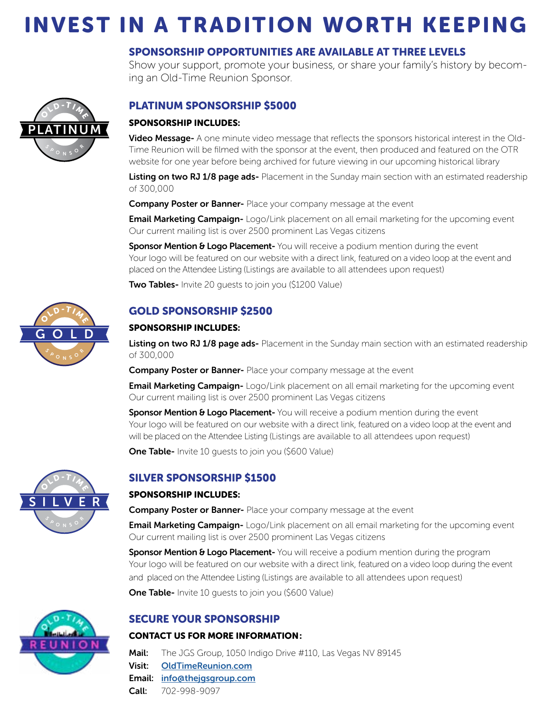# INVEST IN A TRADITION WORTH KEEPING

## SPONSORSHIP OPPORTUNITIES ARE AVAILABLE AT THREE LEVELS

Show your support, promote your business, or share your family's history by becoming an Old-Time Reunion Sponsor.



## PLATINUM SPONSORSHIP \$5000

#### SPONSORSHIP INCLUDES:

Video Message- A one minute video message that reflects the sponsors historical interest in the Old-Time Reunion will be filmed with the sponsor at the event, then produced and featured on the OTR website for one year before being archived for future viewing in our upcoming historical library

Listing on two RJ 1/8 page ads- Placement in the Sunday main section with an estimated readership of 300,000

**Company Poster or Banner-** Place your company message at the event

**Email Marketing Campaign-** Logo/Link placement on all email marketing for the upcoming event Our current mailing list is over 2500 prominent Las Vegas citizens

Sponsor Mention & Logo Placement- You will receive a podium mention during the event Your logo will be featured on our website with a direct link, featured on a video loop at the event and placed on the Attendee Listing (Listings are available to all attendees upon request)

**Two Tables-** Invite 20 guests to join you (\$1200 Value)



#### SPONSORSHIP INCLUDES:

Listing on two RJ 1/8 page ads- Placement in the Sunday main section with an estimated readership of 300,000

**Company Poster or Banner-** Place your company message at the event

**Email Marketing Campaign-** Logo/Link placement on all email marketing for the upcoming event Our current mailing list is over 2500 prominent Las Vegas citizens

Sponsor Mention & Logo Placement-You will receive a podium mention during the event Your logo will be featured on our website with a direct link, featured on a video loop at the event and will be placed on the Attendee Listing (Listings are available to all attendees upon request)

**One Table-** Invite 10 quests to join you (\$600 Value)



## SILVER SPONSORSHIP \$1500

#### SPONSORSHIP INCLUDES:

**Company Poster or Banner-** Place your company message at the event

**Email Marketing Campaign-** Logo/Link placement on all email marketing for the upcoming event Our current mailing list is over 2500 prominent Las Vegas citizens

**Sponsor Mention & Logo Placement-** You will receive a podium mention during the program Your logo will be featured on our website with a direct link, featured on a video loop during the event and placed on the Attendee Listing (Listings are available to all attendees upon request)

**One Table-** Invite 10 guests to join you (\$600 Value)

#### SECURE YOUR SPONSORSHIP

#### CONTACT US FOR MORE INFORMATION:

Mail: The JGS Group, 1050 Indigo Drive #110, Las Vegas NV 89145

Visit: [OldTimeReunion.com](https://oldtimereunion.com/index.html)

Email: [info@thejgsgroup.com](mailto:info%40thejgsgroup.com?subject=)

Call: 702-998-9097